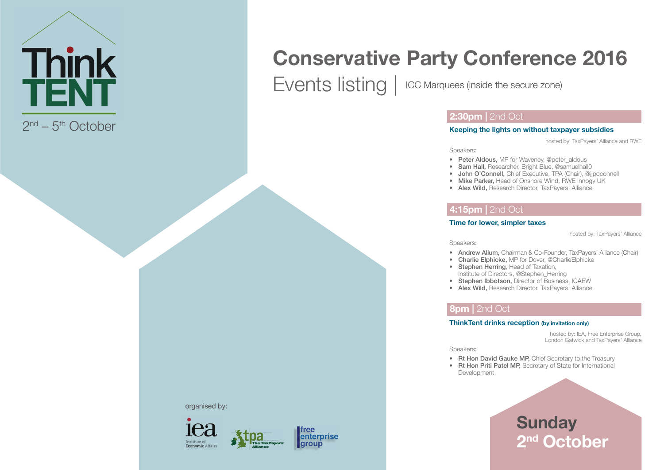

# **Conservative Party Conference 2016**

Events listing | ICC Marquees (inside the secure zone)

### **2:30pm | 2nd Oct**

#### **Keeping the lights on without taxpayer subsidies**

hosted by: TaxPayers' Alliance and RWE

Speakers:

- Peter Aldous, MP for Waveney, @peter\_aldous
- Sam Hall, Researcher, Bright Blue, @samuelhall0
- John O'Connell, Chief Executive, TPA (Chair), @jjpoconnell
- Mike Parker, Head of Onshore Wind, RWE Innogy UK
- Alex Wild, Research Director, TaxPayers' Alliance

## **4:15pm |** 2nd Oct

#### **Time for lower, simpler taxes**

hosted by: TaxPayers' Alliance

Speakers:

- Andrew Allum, Chairman & Co-Founder, TaxPayers' Alliance (Chair)
- Charlie Elphicke, MP for Dover, @CharlieElphicke
- Stephen Herring, Head of Taxation, Institute of Directors, @Stephen\_Herring
- Stephen Ibbotson, Director of Business, ICAEW
- Alex Wild, Research Director, TaxPayers' Alliance

## **8pm | 2nd Oct**

#### **ThinkTent drinks reception (by invitation only)**

hosted by: IEA, Free Enterprise Group, London Gatwick and TaxPayers' Alliance

Speakers:

- Rt Hon David Gauke MP, Chief Secretary to the Treasury
- Rt Hon Priti Patel MP, Secretary of State for International Development

## **Sunday 2nd October**

organised by:



free enterprise **group**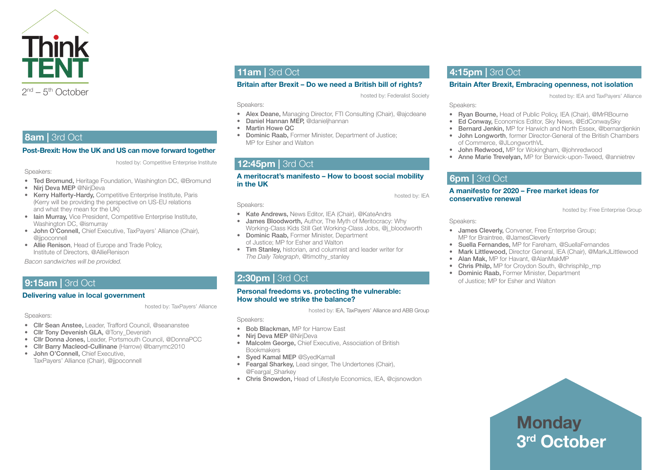

## **8am | 3rd Oct**

#### **Post-Brexit: How the UK and US can move forward together**

hosted by: Competitive Enterprise Institute

Speakers:

- Ted Bromund, Heritage Foundation, Washington DC, @Bromund
- Nirj Deva MEP @NirjDeva
- Kerry Halferty-Hardy, Competitive Enterprise Institute, Paris (Kerry will be providing the perspective on US-EU relations and what they mean for the UK)
- Iain Murray, Vice President, Competitive Enterprise Institute, Washington DC, @ismurray
- John O'Connell, Chief Executive, TaxPayers' Alliance (Chair), @jjpoconnell
- Allie Renison, Head of Europe and Trade Policy, Institute of Directors, @AllieRenison

*Bacon sandwiches will be provided.*

## **9:15am | 3rd Oct**

#### **Delivering value in local government**

hosted by: TaxPayers' Alliance

Speakers:

- Cllr Sean Anstee, Leader, Trafford Council, @seananstee
- Cllr Tony Devenish GLA, @Tony Devenish
- Cllr Donna Jones, Leader, Portsmouth Council, @DonnaPCC
- Cllr Barry Macleod-Cullinane (Harrow) @barrymc2010
- John O'Connell, Chief Executive, TaxPayers' Alliance (Chair), @jjpoconnell

## **11am | 3rd Oct**

#### **Britain after Brexit – Do we need a British bill of rights?**

hosted by: Federalist Society

Speakers:

Speakers:

- Alex Deane, Managing Director, FTI Consulting (Chair), @ajcdeane
- Daniel Hannan MEP, @danieljhannan
- Martin Howe QC
- Dominic Raab, Former Minister, Department of Justice; MP for Esher and Walton

• Kate Andrews, News Editor, IEA (Chair), @KateAndrs • James Bloodworth, Author, The Myth of Meritocracy: Why Working-Class Kids Still Get Working-Class Jobs, @j\_bloodworth

• Tim Stanley, historian, and columnist and leader writer for

• Dominic Raab, Former Minister, Department of Justice; MP for Esher and Walton

*The Daily Telegraph*, @timothy\_stanley

## **12:45pm | 3rd Oct**

#### **A meritocrat's manifesto – How to boost social mobility in the UK**

hosted by: IEA

hosted by: Free Enterprise Group

hosted by: IEA and TaxPayers' Alliance

Speakers:

 **6pm |** 3rd Oct

**conservative renewal**

Speakers:

**4:15pm | 3rd Oct** 

of Commerce, @JLongworthVL

• James Cleverly, Convener, Free Enterprise Group; MP for Braintree, @JamesCleverly

**A manifesto for 2020 – Free market ideas for** 

• John Redwood, MP for Wokingham, @johnredwood

- Suella Fernandes, MP for Fareham, @SuellaFernandes
- Mark Littlewood, Director General, IEA (Chair), @MarkJLittlewood

**Britain After Brexit, Embracing openness, not isolation**

• Ryan Bourne, Head of Public Policy, IEA (Chair), @MrRBourne • Ed Conway, Economics Editor, Sky News, @EdConwaySky • Bernard Jenkin, MP for Harwich and North Essex, @bernardjenkin • John Longworth, former Director-General of the British Chambers

• Anne Marie Trevelyan, MP for Berwick-upon-Tweed, @annietrev

- Alan Mak, MP for Havant, @AlanMakMP
- Chris Philp, MP for Croydon South, @chrisphilp\_mp
- Dominic Raab, Former Minister, Department of Justice: MP for Esher and Walton

**Personal freedoms vs. protecting the vulnerable: How should we strike the balance?**

hosted by: IEA, TaxPayers' Alliance and ABB Group

Speakers:

- Bob Blackman, MP for Harrow East
- Nirj Deva MEP @NirjDeva

**2:30pm | 3rd Oct** 

- Malcolm George, Chief Executive, Association of British Bookmakers
- Sved Kamal MEP @SvedKamall
- Feargal Sharkey, Lead singer, The Undertones (Chair), @Feargal\_Sharkey
- Chris Snowdon, Head of Lifestyle Economics, IEA, @cjsnowdon

**Monday 3rd October**